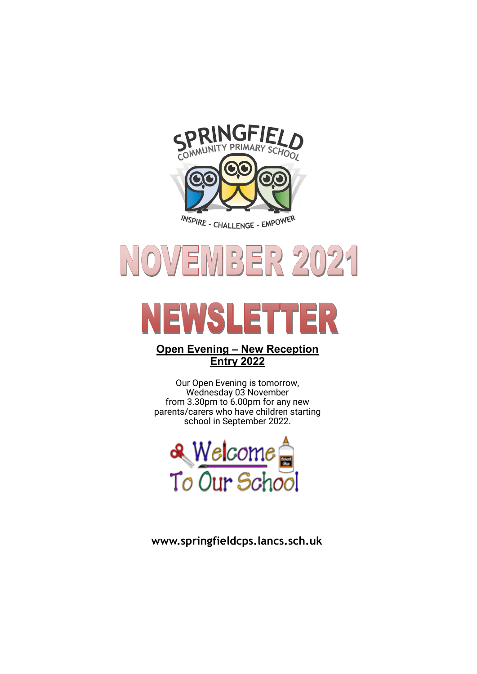



# VSL E

#### **Open Evening – New Reception Entry 2022**

Our Open Evening is tomorrow, Wednesday 03 November from 3.30pm to 6.00pm for any new parents/carers who have children starting school in September 2022.



**www.springfieldcps.lancs.sch.uk**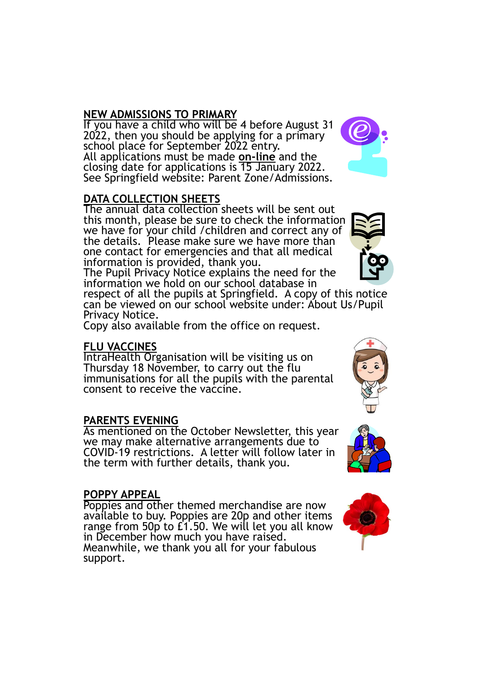# **NEW ADMISSIONS TO PRIMARY**

If you have a child who will be 4 before August 31 2022, then you should be applying for a primary school place for September 2022 entry. All applications must be made **on-line** and the closing date for applications is 15 January 2022. See Springfield website: Parent Zone/Admissions.

# **DATA COLLECTION SHEETS**

The annual data collection sheets will be sent out this month, please be sure to check the information we have for your child /children and correct any of the details. Please make sure we have more than one contact for emergencies and that all medical information is provided, thank you.

The Pupil Privacy Notice explains the need for the information we hold on our school database in

respect of all the pupils at Springfield. A copy of this notice can be viewed on our school website under: About Us/Pupil Privacy Notice.

Copy also available from the office on request.

#### **FLU VACCINES**

IntraHealth Organisation will be visiting us on Thursday 18 November, to carry out the flu immunisations for all the pupils with the parental consent to receive the vaccine.

#### **PARENTS EVENING**

As mentioned on the October Newsletter, this year we may make alternative arrangements due to COVID-19 restrictions. A letter will follow later in the term with further details, thank you.

#### **POPPY APPEAL**

Poppies and other themed merchandise are now available to buy. Poppies are 20p and other items range from 50p to £1.50. We will let you all know in December how much you have raised. Meanwhile, we thank you all for your fabulous support.







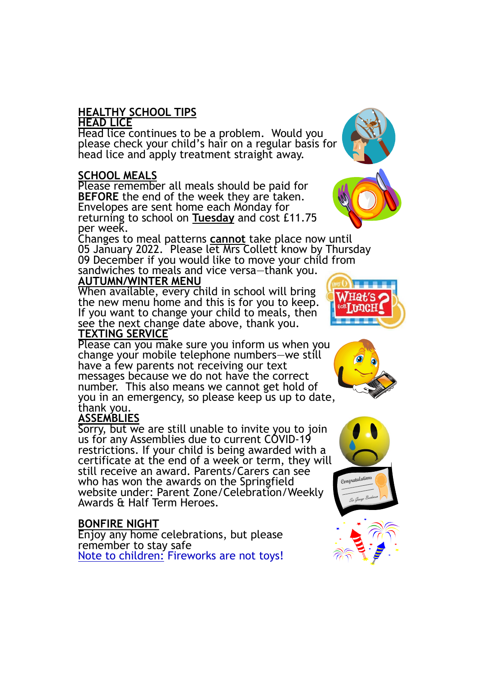# **HEALTHY SCHOOL TIPS**

#### **HEAD LICE**

Head lice continues to be a problem. Would you please check your child's hair on a regular basis for head lice and apply treatment straight away.

#### **SCHOOL MEALS**

Please remember all meals should be paid for **BEFORE** the end of the week they are taken. Envelopes are sent home each Monday for returning to school on **Tuesday** and cost £11.75 per week.

Changes to meal patterns **cannot** take place now until 05 January 2022. Please let Mrs Collett know by Thursday 09 December if you would like to move your child from sandwiches to meals and vice versa—thank you. **AUTUMN/WINTER MENU**

#### When available, every child in school will bring the new menu home and this is for you to keep. If you want to change your child to meals, then see the next change date above, thank you. **TEXTING SERVICE**

Please can you make sure you inform us when you change your mobile telephone numbers—we still have a few parents not receiving our text messages because we do not have the correct number. This also means we cannot get hold of you in an emergency, so please keep us up to date, thank you.

# **ASSEMBLIES**

Sorry, but we are still unable to invite you to join us for any Assemblies due to current COVID-19 restrictions. If your child is being awarded with a certificate at the end of a week or term, they will still receive an award. Parents/Carers can see who has won the awards on the Springfield website under: Parent Zone/Celebration/Weekly Awards & Half Term Heroes.

# **BONFIRE NIGHT**

Enjoy any home celebrations, but please remember to stay safe Note to children: Fireworks are not toys!